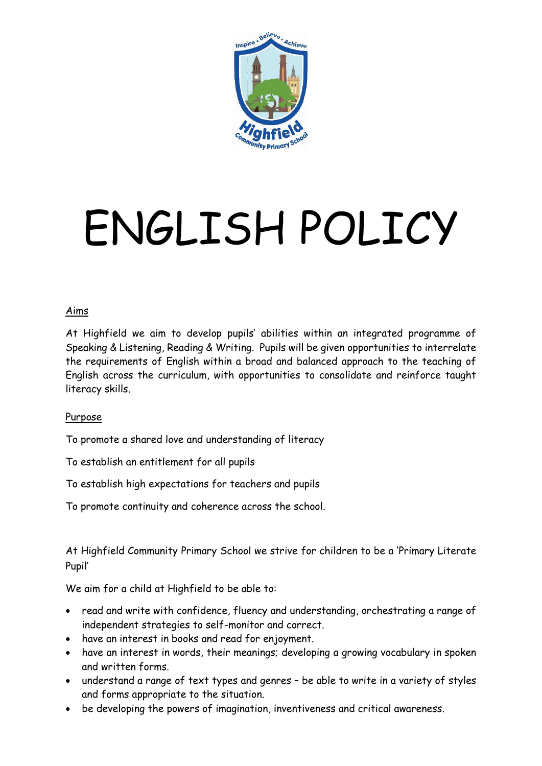

# ENGLISH POLICY

#### Aims

At Highfield we aim to develop pupils' abilities within an integrated programme of Speaking & Listening, Reading & Writing. Pupils will be given opportunities to interrelate the requirements of English within a broad and balanced approach to the teaching of English across the curriculum, with opportunities to consolidate and reinforce taught literacy skills.

#### Purpose

To promote a shared love and understanding of literacy

To establish an entitlement for all pupils

To establish high expectations for teachers and pupils

To promote continuity and coherence across the school.

At Highfield Community Primary School we strive for children to be a 'Primary Literate Pupil'

We aim for a child at Highfield to be able to:

- read and write with confidence, fluency and understanding, orchestrating a range of independent strategies to self-monitor and correct.
- have an interest in books and read for enjoyment.
- have an interest in words, their meanings; developing a growing vocabulary in spoken and written forms.
- understand a range of text types and genres be able to write in a variety of styles and forms appropriate to the situation.
- be developing the powers of imagination, inventiveness and critical awareness.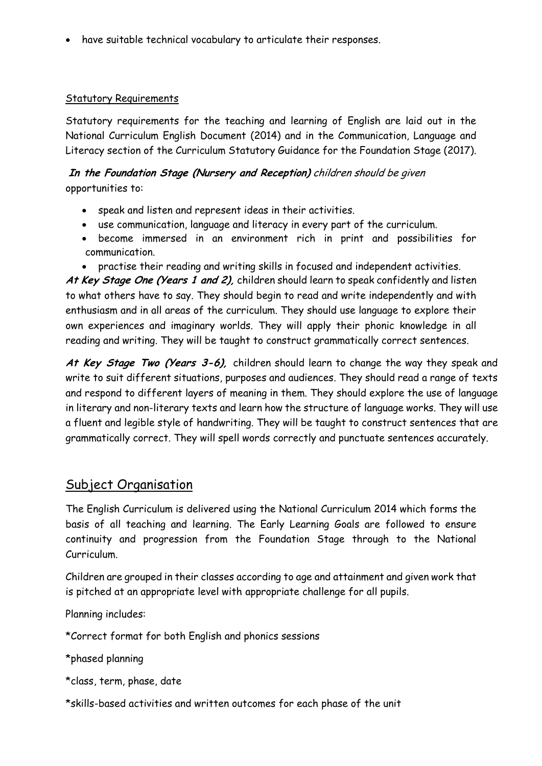have suitable technical vocabulary to articulate their responses.

#### Statutory Requirements

Statutory requirements for the teaching and learning of English are laid out in the National Curriculum English Document (2014) and in the Communication, Language and Literacy section of the Curriculum Statutory Guidance for the Foundation Stage (2017).

#### **In the Foundation Stage (Nursery and Reception)** children should be given opportunities to:

- speak and listen and represent ideas in their activities.
- use communication, language and literacy in every part of the curriculum.
- become immersed in an environment rich in print and possibilities for communication.
- practise their reading and writing skills in focused and independent activities.

**At Key Stage One (Years 1 and 2),** children should learn to speak confidently and listen to what others have to say. They should begin to read and write independently and with enthusiasm and in all areas of the curriculum. They should use language to explore their own experiences and imaginary worlds. They will apply their phonic knowledge in all reading and writing. They will be taught to construct grammatically correct sentences.

**At Key Stage Two (Years 3-6),** children should learn to change the way they speak and write to suit different situations, purposes and audiences. They should read a range of texts and respond to different layers of meaning in them. They should explore the use of language in literary and non-literary texts and learn how the structure of language works. They will use a fluent and legible style of handwriting. They will be taught to construct sentences that are grammatically correct. They will spell words correctly and punctuate sentences accurately.

#### Subject Organisation

The English Curriculum is delivered using the National Curriculum 2014 which forms the basis of all teaching and learning. The Early Learning Goals are followed to ensure continuity and progression from the Foundation Stage through to the National Curriculum.

Children are grouped in their classes according to age and attainment and given work that is pitched at an appropriate level with appropriate challenge for all pupils.

Planning includes:

\*Correct format for both English and phonics sessions

\*phased planning

\*class, term, phase, date

\*skills-based activities and written outcomes for each phase of the unit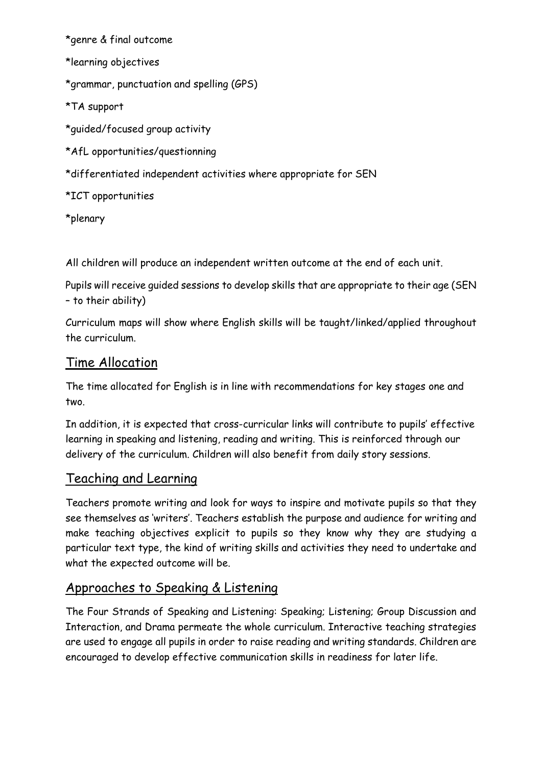\*genre & final outcome

\*learning objectives

\*grammar, punctuation and spelling (GPS)

\*TA support

\*guided/focused group activity

\*AfL opportunities/questionning

\*differentiated independent activities where appropriate for SEN

\*ICT opportunities

\*plenary

All children will produce an independent written outcome at the end of each unit.

Pupils will receive guided sessions to develop skills that are appropriate to their age (SEN – to their ability)

Curriculum maps will show where English skills will be taught/linked/applied throughout the curriculum.

## Time Allocation

The time allocated for English is in line with recommendations for key stages one and two.

In addition, it is expected that cross-curricular links will contribute to pupils' effective learning in speaking and listening, reading and writing. This is reinforced through our delivery of the curriculum. Children will also benefit from daily story sessions.

## Teaching and Learning

Teachers promote writing and look for ways to inspire and motivate pupils so that they see themselves as 'writers'. Teachers establish the purpose and audience for writing and make teaching objectives explicit to pupils so they know why they are studying a particular text type, the kind of writing skills and activities they need to undertake and what the expected outcome will be.

## Approaches to Speaking & Listening

The Four Strands of Speaking and Listening: Speaking; Listening; Group Discussion and Interaction, and Drama permeate the whole curriculum. Interactive teaching strategies are used to engage all pupils in order to raise reading and writing standards. Children are encouraged to develop effective communication skills in readiness for later life.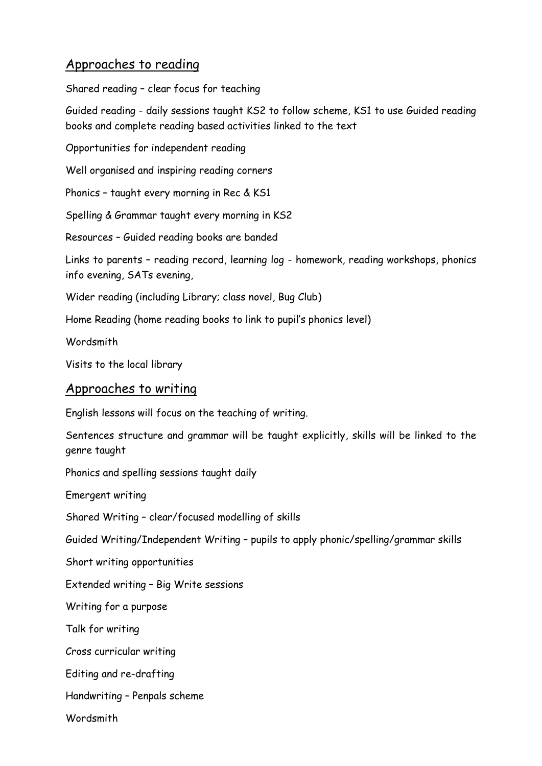## Approaches to reading

Shared reading – clear focus for teaching

Guided reading - daily sessions taught KS2 to follow scheme, KS1 to use Guided reading books and complete reading based activities linked to the text

Opportunities for independent reading

Well organised and inspiring reading corners

Phonics – taught every morning in Rec & KS1

Spelling & Grammar taught every morning in KS2

Resources – Guided reading books are banded

Links to parents – reading record, learning log - homework, reading workshops, phonics info evening, SATs evening,

Wider reading (including Library; class novel, Bug Club)

Home Reading (home reading books to link to pupil's phonics level)

Wordsmith

Visits to the local library

## Approaches to writing

English lessons will focus on the teaching of writing.

Sentences structure and grammar will be taught explicitly, skills will be linked to the genre taught

Phonics and spelling sessions taught daily

Emergent writing

Shared Writing – clear/focused modelling of skills

Guided Writing/Independent Writing – pupils to apply phonic/spelling/grammar skills

Short writing opportunities

Extended writing – Big Write sessions

Writing for a purpose

Talk for writing

Cross curricular writing

Editing and re-drafting

Handwriting – Penpals scheme

**Wordsmith**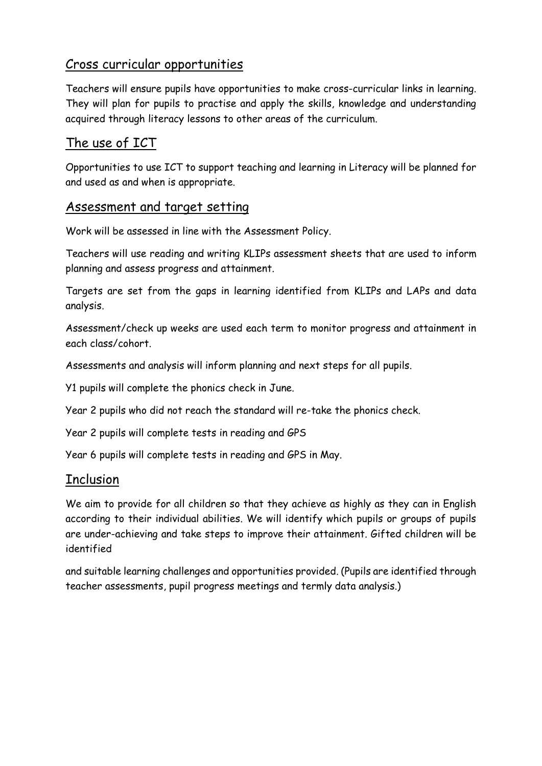## Cross curricular opportunities

Teachers will ensure pupils have opportunities to make cross-curricular links in learning. They will plan for pupils to practise and apply the skills, knowledge and understanding acquired through literacy lessons to other areas of the curriculum.

# The use of ICT

Opportunities to use ICT to support teaching and learning in Literacy will be planned for and used as and when is appropriate.

#### Assessment and target setting

Work will be assessed in line with the Assessment Policy.

Teachers will use reading and writing KLIPs assessment sheets that are used to inform planning and assess progress and attainment.

Targets are set from the gaps in learning identified from KLIPs and LAPs and data analysis.

Assessment/check up weeks are used each term to monitor progress and attainment in each class/cohort.

Assessments and analysis will inform planning and next steps for all pupils.

Y1 pupils will complete the phonics check in June.

Year 2 pupils who did not reach the standard will re-take the phonics check.

Year 2 pupils will complete tests in reading and GPS

Year 6 pupils will complete tests in reading and GPS in May.

#### **Inclusion**

We aim to provide for all children so that they achieve as highly as they can in English according to their individual abilities. We will identify which pupils or groups of pupils are under-achieving and take steps to improve their attainment. Gifted children will be identified

and suitable learning challenges and opportunities provided. (Pupils are identified through teacher assessments, pupil progress meetings and termly data analysis.)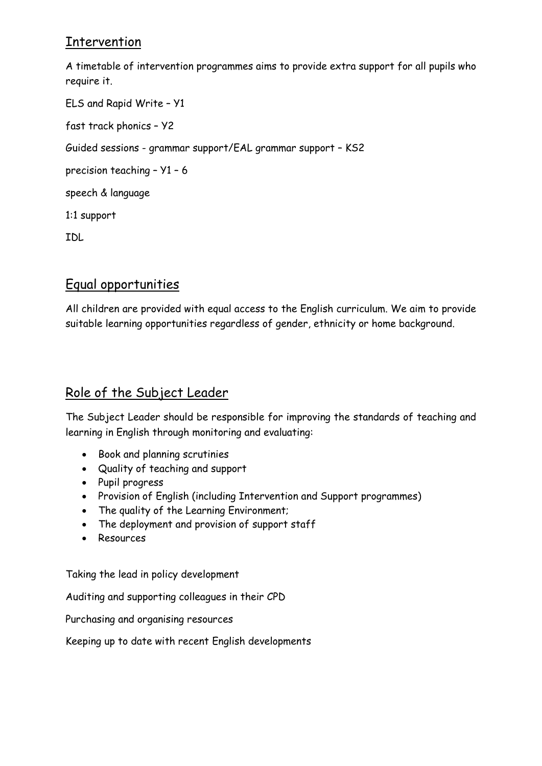# **Intervention**

A timetable of intervention programmes aims to provide extra support for all pupils who require it.

ELS and Rapid Write – Y1 fast track phonics – Y2 Guided sessions - grammar support/EAL grammar support – KS2 precision teaching – Y1 – 6 speech & language 1:1 support IDL

# Equal opportunities

All children are provided with equal access to the English curriculum. We aim to provide suitable learning opportunities regardless of gender, ethnicity or home background.

# Role of the Subject Leader

The Subject Leader should be responsible for improving the standards of teaching and learning in English through monitoring and evaluating:

- Book and planning scrutinies
- Quality of teaching and support
- Pupil progress
- Provision of English (including Intervention and Support programmes)
- The quality of the Learning Environment;
- The deployment and provision of support staff
- Resources

Taking the lead in policy development

Auditing and supporting colleagues in their CPD

Purchasing and organising resources

Keeping up to date with recent English developments